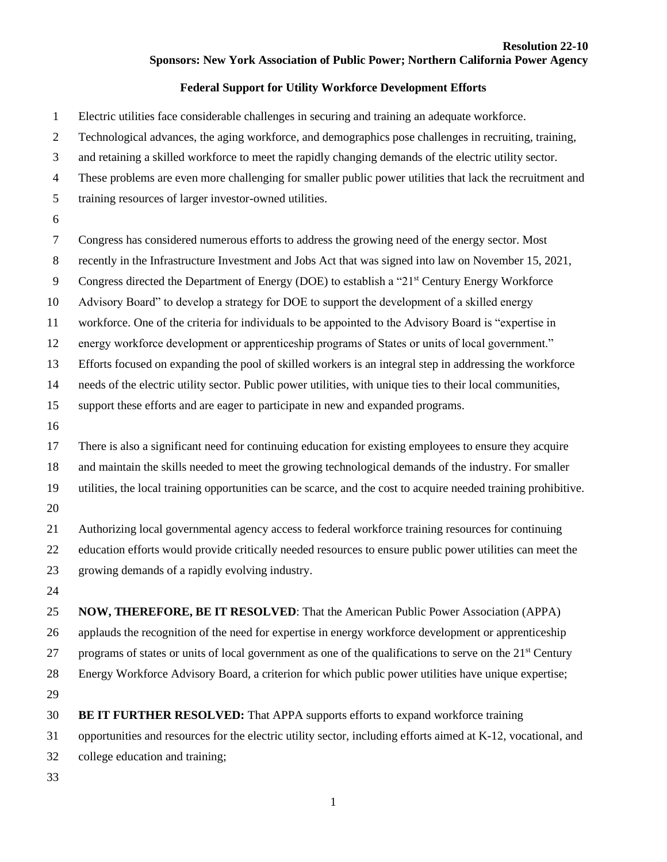## **Resolution 22-10 Sponsors: New York Association of Public Power; Northern California Power Agency**

## **Federal Support for Utility Workforce Development Efforts**

- Electric utilities face considerable challenges in securing and training an adequate workforce.
- Technological advances, the aging workforce, and demographics pose challenges in recruiting, training,
- and retaining a skilled workforce to meet the rapidly changing demands of the electric utility sector.
- These problems are even more challenging for smaller public power utilities that lack the recruitment and
- training resources of larger investor-owned utilities.
- 
- Congress has considered numerous efforts to address the growing need of the energy sector. Most
- recently in the Infrastructure Investment and Jobs Act that was signed into law on November 15, 2021,
- 9 Congress directed the Department of Energy (DOE) to establish a "21<sup>st</sup> Century Energy Workforce
- Advisory Board" to develop a strategy for DOE to support the development of a skilled energy
- workforce. One of the criteria for individuals to be appointed to the Advisory Board is "expertise in
- energy workforce development or apprenticeship programs of States or units of local government."
- Efforts focused on expanding the pool of skilled workers is an integral step in addressing the workforce
- needs of the electric utility sector. Public power utilities, with unique ties to their local communities,
- support these efforts and are eager to participate in new and expanded programs.
- 
- There is also a significant need for continuing education for existing employees to ensure they acquire and maintain the skills needed to meet the growing technological demands of the industry. For smaller utilities, the local training opportunities can be scarce, and the cost to acquire needed training prohibitive.
- 
- Authorizing local governmental agency access to federal workforce training resources for continuing education efforts would provide critically needed resources to ensure public power utilities can meet the growing demands of a rapidly evolving industry.
- 

 **NOW, THEREFORE, BE IT RESOLVED**: That the American Public Power Association (APPA) applauds the recognition of the need for expertise in energy workforce development or apprenticeship 27 programs of states or units of local government as one of the qualifications to serve on the  $21<sup>st</sup>$  Century Energy Workforce Advisory Board, a criterion for which public power utilities have unique expertise; 

**BE IT FURTHER RESOLVED:** That APPA supports efforts to expand workforce training

opportunities and resources for the electric utility sector, including efforts aimed at K-12, vocational, and

- college education and training;
-